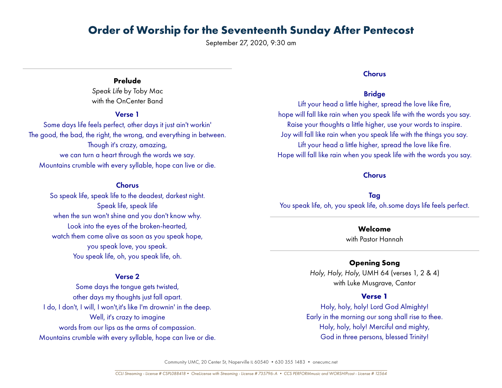September 27, 2020, 9:30 am

## **Prelude**

*Speak Life* by Toby Mac with the OnCenter Band

## Verse 1

Some days life feels perfect, other days it just ain't workin' The good, the bad, the right, the wrong, and everything in between. Though it's crazy, amazing, we can turn a heart through the words we say. Mountains crumble with every syllable, hope can live or die.

#### Chorus

So speak life, speak life to the deadest, darkest night. Speak life, speak life when the sun won't shine and you don't know why. Look into the eyes of the broken-hearted, watch them come alive as soon as you speak hope, you speak love, you speak. You speak life, oh, you speak life, oh.

### Verse 2

Some days the tongue gets twisted, other days my thoughts just fall apart. I do, I don't, I will, I won't,it's like I'm drownin' in the deep. Well, it's crazy to imagine words from our lips as the arms of compassion. Mountains crumble with every syllable, hope can live or die.

# **Chorus**

## Bridge

Lift your head a little higher, spread the love like fire, hope will fall like rain when you speak life with the words you say. Raise your thoughts a little higher, use your words to inspire. Joy will fall like rain when you speak life with the things you say. Lift your head a little higher, spread the love like fire. Hope will fall like rain when you speak life with the words you say.

#### **Chorus**

## Tag

You speak life, oh, you speak life, oh.some days life feels perfect.

## **Welcome**

with Pastor Hannah

## **Opening Song**

*Holy, Holy, Holy,* UMH 64 (verses 1, 2 & 4) with Luke Musgrave, Cantor

#### **Verse 1**

Holy, holy, holy! Lord God Almighty! Early in the morning our song shall rise to thee. Holy, holy, holy! Merciful and mighty, God in three persons, blessed Trinity!

Community UMC, 20 Center St, Naperville IL 60540 • 630 355 1483 • onecumc.net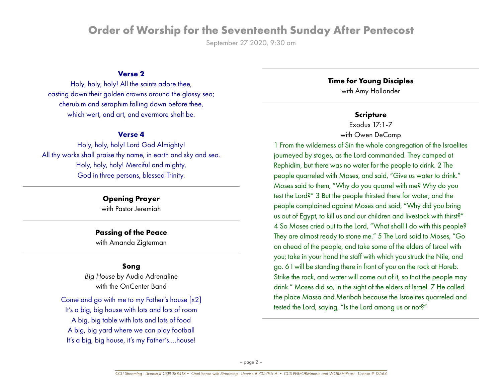September 27 2020, 9:30 am

# **Verse 2**

Holy, holy, holy! All the saints adore thee, casting down their golden crowns around the glassy sea; cherubim and seraphim falling down before thee, which wert, and art, and evermore shalt be.

## **Verse 4**

Holy, holy, holy! Lord God Almighty! All thy works shall praise thy name, in earth and sky and sea. Holy, holy, holy! Merciful and mighty, God in three persons, blessed Trinity.

# **Opening Prayer**

with Pastor Jeremiah

# **Passing of the Peace**

with Amanda Zigterman

#### **Song**

*Big House* by Audio Adrenaline with the OnCenter Band

Come and go with me to my Father's house [x2] It's a big, big house with lots and lots of room A big, big table with lots and lots of food A big, big yard where we can play football It's a big, big house, it's my Father's….house!

**Time for Young Disciples**  with Amy Hollander

# **Scripture**

Exodus 17:1-7 with Owen DeCamp

1 From the wilderness of Sin the whole congregation of the Israelites journeyed by stages, as the Lord commanded. They camped at Rephidim, but there was no water for the people to drink. 2 The people quarreled with Moses, and said, "Give us water to drink." Moses said to them, "Why do you quarrel with me? Why do you test the Lord?" 3 But the people thirsted there for water; and the people complained against Moses and said, "Why did you bring us out of Egypt, to kill us and our children and livestock with thirst?" 4 So Moses cried out to the Lord, "What shall I do with this people? They are almost ready to stone me." 5 The Lord said to Moses, "Go on ahead of the people, and take some of the elders of Israel with you; take in your hand the staff with which you struck the Nile, and go. 6 I will be standing there in front of you on the rock at Horeb. Strike the rock, and water will come out of it, so that the people may drink." Moses did so, in the sight of the elders of Israel. 7 He called the place Massa and Meribah because the Israelites quarreled and tested the Lord, saying, "Is the Lord among us or not?"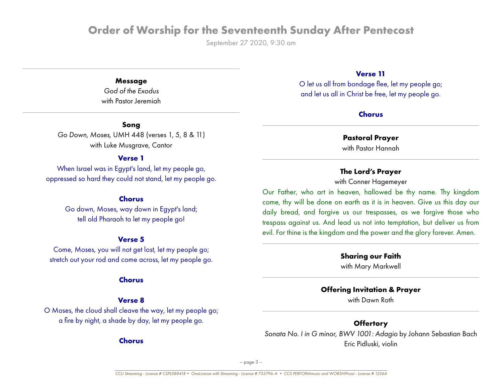September 27 2020, 9:30 am

# **Verse 11**

O let us all from bondage flee, let my people go; and let us all in Christ be free, let my people go.

## **Chorus**

**Pastoral Prayer**  with Pastor Hannah

# **The Lord's Prayer**

with Conner Hagemeyer

Our Father, who art in heaven, hallowed be thy name. Thy kingdom come, thy will be done on earth as it is in heaven. Give us this day our daily bread, and forgive us our trespasses, as we forgive those who trespass against us. And lead us not into temptation, but deliver us from evil. For thine is the kingdom and the power and the glory forever. Amen.

#### **Sharing our Faith**

with Mary Markwell

## **Offering Invitation & Prayer**

with Dawn Roth

# **Offertory**

*Sonata No. I in G minor, BWV 1001: Adagio* by Johann Sebastian Bach Eric Pidluski, violin

– page 3 –

**Song** 

**Message**  *God of the Exodus*  with Pastor Jeremiah

*Go Down, Moses*, UMH 448 (verses 1, 5, 8 & 11) with Luke Musgrave, Cantor

#### **Verse 1**

When Israel was in Egypt's land, let my people go, oppressed so hard they could not stand, let my people go.

### **Chorus**

Go down, Moses, way down in Egypt's land; tell old Pharaoh to let my people go!

## **Verse 5**

Come, Moses, you will not get lost, let my people go; stretch out your rod and come across, let my people go.

## **Chorus**

## **Verse 8**

O Moses, the cloud shall cleave the way, let my people go; a fire by night, a shade by day, let my people go.

## **Chorus**